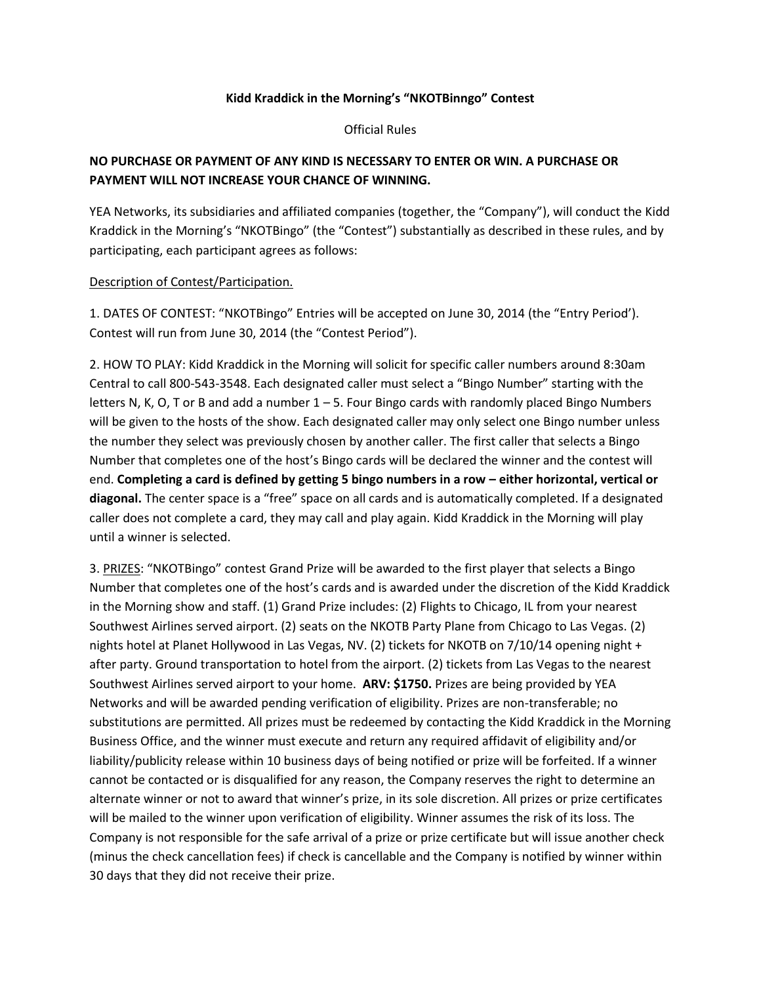## Kidd Kraddick in the Morning's "NKOTBinngo" Contest

**Official Rules** 

## NO PURCHASE OR PAYMENT OF ANY KIND IS NECESSARY TO ENTER OR WIN. A PURCHASE OR PAYMENT WILL NOT INCREASE YOUR CHANCE OF WINNING.

YEA Networks, its subsidiaries and affiliated companies (together, the "Company"), will conduct the Kidd Kraddick in the Morning's "NKOTBingo" (the "Contest") substantially as described in these rules, and by participating, each participant agrees as follows:

## Description of Contest/Participation.

1. DATES OF CONTEST: "NKOTBingo" Entries will be accepted on June 30, 2014 (the "Entry Period'). Contest will run from June 30, 2014 (the "Contest Period").

2. HOW TO PLAY: Kidd Kraddick in the Morning will solicit for specific caller numbers around 8:30am Central to call 800-543-3548. Each designated caller must select a "Bingo Number" starting with the letters N, K, O, T or B and add a number  $1-5$ . Four Bingo cards with randomly placed Bingo Numbers will be given to the hosts of the show. Each designated caller may only select one Bingo number unless the number they select was previously chosen by another caller. The first caller that selects a Bingo Number that completes one of the host's Bingo cards will be declared the winner and the contest will end.'**Completing\*a\*card\*is\*defined\*by\*getting\*5\*bingo\*numbers\*in\*a\*row\*ʹ either\*horizontal,\*vertical\*or\*** diagonal. The center space is a "free" space on all cards and is automatically completed. If a designated caller does not complete a card, they may call and play again. Kidd Kraddick in the Morning will play until a winner is selected.

3. PRIZES: "NKOTBingo" contest Grand Prize will be awarded to the first player that selects a Bingo Number that completes one of the host's cards and is awarded under the discretion of the Kidd Kraddick in the Morning show and staff. (1) Grand Prize includes: (2) Flights to Chicago, IL from your nearest Southwest Airlines served airport. (2) seats on the NKOTB Party Plane from Chicago to Las Vegas. (2) nights hotel at Planet Hollywood in Las Vegas, NV. (2) tickets for NKOTB on 7/10/14 opening night + after party. Ground transportation to hotel from the airport. (2) tickets from Las Vegas to the nearest Southwest Airlines served airport to your home. **ARV: \$1750.** Prizes are being provided by YEA Networks and will be awarded pending verification of eligibility. Prizes are non-transferable; no substitutions are permitted. All prizes must be redeemed by contacting the Kidd Kraddick in the Morning Business Office, and the winner must execute and return any required affidavit of eligibility and/or liability/publicity release within 10 business days of being notified or prize will be forfeited. If a winner cannot be contacted or is disqualified for any reason, the Company reserves the right to determine an alternate winner or not to award that winner's prize, in its sole discretion. All prizes or prize certificates will be mailed to the winner upon verification of eligibility. Winner assumes the risk of its loss. The Company is not responsible for the safe arrival of a prize or prize certificate but will issue another check (minus the check cancellation fees) if check is cancellable and the Company is notified by winner within 30 days that they did not receive their prize.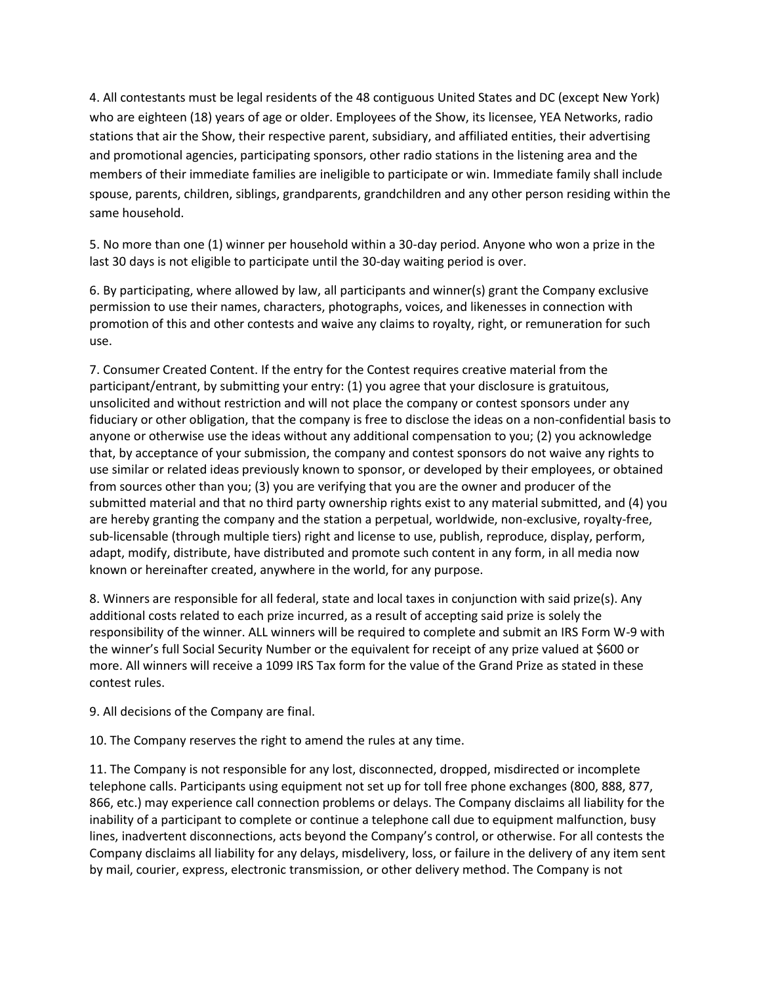4. All contestants must be legal residents of the 48 contiguous United States and DC (except New York) who are eighteen (18) years of age or older. Employees of the Show, its licensee, YEA Networks, radio stations that air the Show, their respective parent, subsidiary, and affiliated entities, their advertising and promotional agencies, participating sponsors, other radio stations in the listening area and the members of their immediate families are ineligible to participate or win. Immediate family shall include spouse, parents, children, siblings, grandparents, grandchildren and any other person residing within the same household.

5. No more than one (1) winner per household within a 30-day period. Anyone who won a prize in the last 30 days is not eligible to participate until the 30-day waiting period is over.

6. By participating, where allowed by law, all participants and winner(s) grant the Company exclusive permission to use their names, characters, photographs, voices, and likenesses in connection with promotion' of this and other contests and waive any claims to royalty, right, or remuneration for such use.

7. Consumer Created Content. If the entry for the Contest requires creative material from the participant/entrant, by submitting your entry: (1) you agree that your disclosure is gratuitous, unsolicited and without restriction and will not place the company or contest sponsors under any fiduciary or other obligation, that the company is free to disclose the ideas on a non-confidential basis to anyone or otherwise use the ideas without any additional compensation to you; (2) you acknowledge that, by acceptance of your submission, the company and contest sponsors do not waive any rights to use similar or related ideas previously known to sponsor, or developed by their employees, or obtained from sources other than you; (3) you are verifying that you are the owner and producer of the submitted material and that no third party ownership rights exist to any material submitted, and (4) you are hereby granting the company and the station a perpetual, worldwide, non-exclusive, royalty-free, sub-licensable (through multiple tiers) right and license to use, publish, reproduce, display, perform, adapt, modify, distribute, have distributed and promote such content in any form, in all media now known or hereinafter created, anywhere in the world, for any purpose.

8. Winners are responsible for all federal, state and local taxes in conjunction with said prize(s). Any additional costs related to each prize incurred, as a result of accepting said prize is solely the responsibility of the winner. ALL winners will be required to complete and submit an IRS Form W-9 with the winner's full Social Security Number or the equivalent for receipt of any prize valued at \$600 or more. All winners will receive a 1099 IRS Tax form for the value of the Grand Prize as stated in these contest rules.

9. All decisions of the Company are final.

10. The Company reserves the right to amend the rules at any time.

11. The Company is not responsible for any lost, disconnected, dropped, misdirected or incomplete telephone calls. Participants using equipment not set up for toll free phone exchanges (800, 888, 877, 866, etc.) may experience call connection problems or delays. The Company disclaims all liability for the inability of a participant to complete or continue a telephone call due to equipment malfunction, busy lines, inadvertent disconnections, acts beyond the Company's control, or otherwise. For all contests the Company disclaims all liability for any delays, misdelivery, loss, or failure in the delivery of any item sent by mail, courier, express, electronic transmission, or other delivery method. The Company is not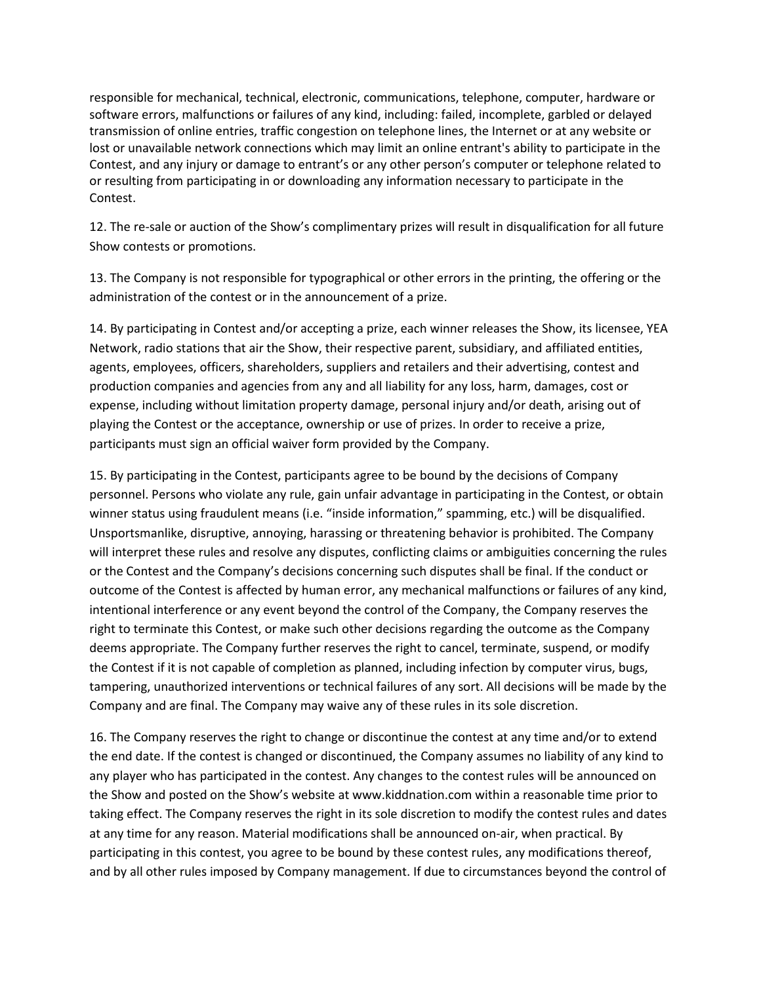responsible for mechanical, technical, electronic, communications, telephone, computer, hardware or software errors, malfunctions or failures of any kind, including: failed, incomplete, garbled or delayed transmission of online entries, traffic congestion on telephone lines, the Internet or at any website or lost or unavailable network connections which may limit an online entrant's ability to participate in the Contest, and any injury or damage to entrant's or any other person's computer or telephone related to or resulting from participating in or downloading any information necessary to participate in the Contest.

12. The re-sale or auction of the Show's complimentary prizes will result in disqualification for all future Show contests or promotions.

13. The Company is not responsible for typographical or other errors in the printing, the offering or the administration of the contest or in the announcement of a prize.

14. By participating in Contest and/or accepting a prize, each winner releases the Show, its licensee, YEA Network, radio stations that air the Show, their respective parent, subsidiary, and affiliated entities, agents, employees, officers, shareholders, suppliers and retailers and their advertising, contest and production companies and agencies from any and all liability for any loss, harm, damages, cost or expense, including without limitation property damage, personal injury and/or death, arising out of playing the Contest or the acceptance, ownership or use of prizes. In order to receive a prize, participants must sign an official waiver form provided by the Company.

15. By participating in the Contest, participants agree to be bound by the decisions of Company personnel. Persons who violate any rule, gain unfair advantage in participating in the Contest, or obtain winner status using fraudulent means (i.e. "inside information," spamming, etc.) will be disqualified. Unsportsmanlike, disruptive, annoying, harassing or threatening behavior is prohibited. The Company will interpret these rules and resolve any disputes, conflicting claims or ambiguities concerning the rules or the Contest and the Company's decisions concerning such disputes shall be final. If the conduct or outcome of the Contest is affected by human error, any mechanical malfunctions or failures of any kind, intentional interference or any event beyond the control of the Company, the Company reserves the right to terminate this Contest, or make such other decisions regarding the outcome as the Company deems appropriate. The Company further reserves the right to cancel, terminate, suspend, or modify the Contest if it is not capable of completion as planned, including infection by computer virus, bugs, tampering, unauthorized interventions or technical failures of any sort. All decisions will be made by the Company and are final. The Company may waive any of these rules in its sole discretion.

16. The Company reserves the right to change or discontinue the contest at any time and/or to extend the end date. If the contest is changed or discontinued, the Company assumes no liability of any kind to any player who has participated in the contest. Any changes to the contest rules will be announced on the Show and posted on the Show's website at www.kiddnation.com within a reasonable time prior to taking effect. The Company reserves the right in its sole discretion to modify the contest rules and dates at any time for any reason. Material modifications shall be announced on-air, when practical. By participating in this contest, you agree to be bound by these contest rules, any modifications thereof, and by all other rules imposed by Company management. If due to circumstances beyond the control of